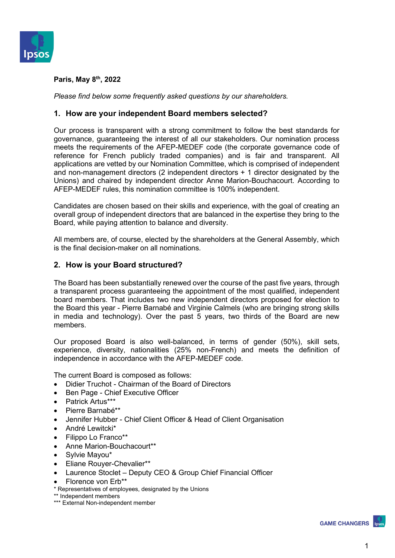

#### **Paris, May 8th, 2022**

*Please find below some frequently asked questions by our shareholders.* 

## **1. How are your independent Board members selected?**

Our process is transparent with a strong commitment to follow the best standards for governance, guaranteeing the interest of all our stakeholders. Our nomination process meets the requirements of the AFEP-MEDEF code (the corporate governance code of reference for French publicly traded companies) and is fair and transparent. All applications are vetted by our Nomination Committee, which is comprised of independent and non-management directors (2 independent directors + 1 director designated by the Unions) and chaired by independent director Anne Marion-Bouchacourt. According to AFEP-MEDEF rules, this nomination committee is 100% independent.

Candidates are chosen based on their skills and experience, with the goal of creating an overall group of independent directors that are balanced in the expertise they bring to the Board, while paying attention to balance and diversity.

All members are, of course, elected by the shareholders at the General Assembly, which is the final decision-maker on all nominations.

# **2. How is your Board structured?**

The Board has been substantially renewed over the course of the past five years, through a transparent process guaranteeing the appointment of the most qualified, independent board members. That includes two new independent directors proposed for election to the Board this year - Pierre Barnabé and Virginie Calmels (who are bringing strong skills in media and technology). Over the past 5 years, two thirds of the Board are new members.

Our proposed Board is also well-balanced, in terms of gender (50%), skill sets, experience, diversity, nationalities (25% non-French) and meets the definition of independence in accordance with the AFEP-MEDEF code.

The current Board is composed as follows:

- Didier Truchot Chairman of the Board of Directors
- Ben Page Chief Executive Officer
- Patrick Artus\*\*\*
- Pierre Barnabé\*\*
- Jennifer Hubber Chief Client Officer & Head of Client Organisation
- André Lewitcki\*
- Filippo Lo Franco\*\*
- Anne Marion-Bouchacourt\*\*
- Sylvie Mayou\*
- Eliane Rouyer-Chevalier\*\*
- Laurence Stoclet Deputy CEO & Group Chief Financial Officer
- Florence von Erb\*\*
- \* Representatives of employees, designated by the Unions
- \*\* Independent members
- \*\*\* External Non-independent member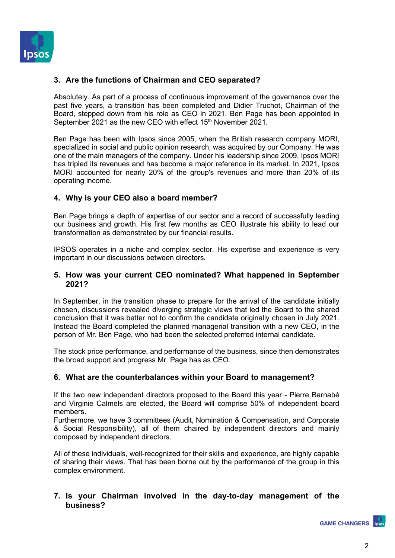

# **3. Are the functions of Chairman and CEO separated?**

Absolutely. As part of a process of continuous improvement of the governance over the past five years, a transition has been completed and Didier Truchot, Chairman of the Board, stepped down from his role as CEO in 2021. Ben Page has been appointed in September 2021 as the new CEO with effect 15<sup>th</sup> November 2021.

Ben Page has been with Ipsos since 2005, when the British research company MORI, specialized in social and public opinion research, was acquired by our Company. He was one of the main managers of the company. Under his leadership since 2009, Ipsos MORI has tripled its revenues and has become a major reference in its market. In 2021, Ipsos MORI accounted for nearly 20% of the group's revenues and more than 20% of its operating income.

### **4. Why is your CEO also a board member?**

Ben Page brings a depth of expertise of our sector and a record of successfully leading our business and growth. His first few months as CEO illustrate his ability to lead our transformation as demonstrated by our financial results.

IPSOS operates in a niche and complex sector. His expertise and experience is very important in our discussions between directors.

#### **5. How was your current CEO nominated? What happened in September 2021?**

In September, in the transition phase to prepare for the arrival of the candidate initially chosen, discussions revealed diverging strategic views that led the Board to the shared conclusion that it was better not to confirm the candidate originally chosen in July 2021. Instead the Board completed the planned managerial transition with a new CEO, in the person of Mr. Ben Page, who had been the selected preferred internal candidate.

The stock price performance, and performance of the business, since then demonstrates the broad support and progress Mr. Page has as CEO.

# **6. What are the counterbalances within your Board to management?**

If the two new independent directors proposed to the Board this year - Pierre Barnabé and Virginie Calmels are elected, the Board will comprise 50% of independent board members.

Furthermore, we have 3 committees (Audit, Nomination & Compensation, and Corporate & Social Responsibility), all of them chaired by independent directors and mainly composed by independent directors.

All of these individuals, well-recognized for their skills and experience, are highly capable of sharing their views. That has been borne out by the performance of the group in this complex environment.

# **7. Is your Chairman involved in the day-to-day management of the business?**